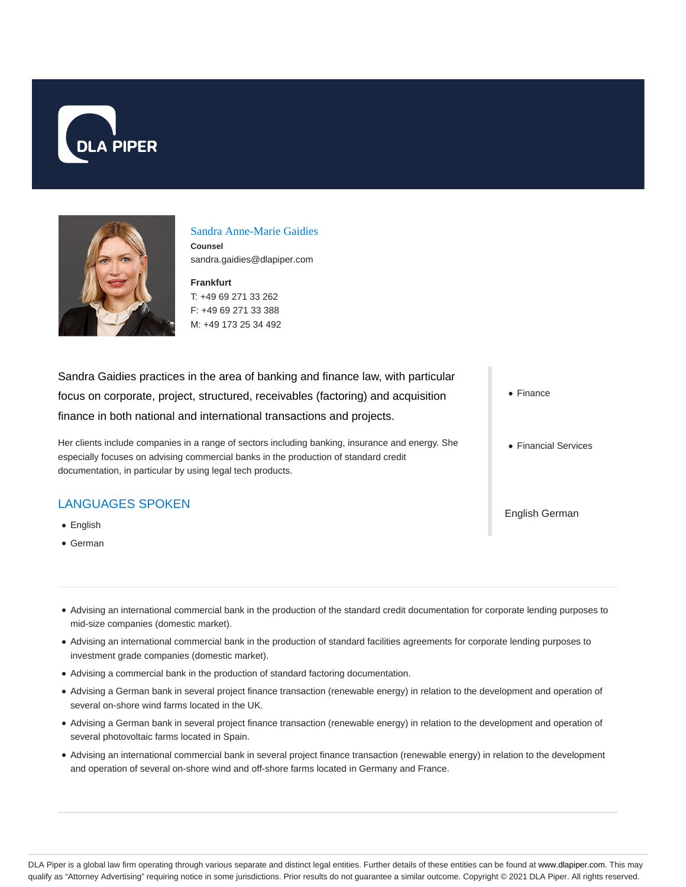



#### Sandra Anne-Marie Gaidies

**Counsel** sandra.gaidies@dlapiper.com

**Frankfurt** T: +49 69 271 33 262 F: +49 69 271 33 388 M: +49 173 25 34 492

Sandra Gaidies practices in the area of banking and finance law, with particular focus on corporate, project, structured, receivables (factoring) and acquisition finance in both national and international transactions and projects.

Her clients include companies in a range of sectors including banking, insurance and energy. She especially focuses on advising commercial banks in the production of standard credit documentation, in particular by using legal tech products.

### LANGUAGES SPOKEN

- English
- German

• Finance

• Financial Services

English German

- Advising an international commercial bank in the production of the standard credit documentation for corporate lending purposes to mid-size companies (domestic market).
- Advising an international commercial bank in the production of standard facilities agreements for corporate lending purposes to investment grade companies (domestic market).
- Advising a commercial bank in the production of standard factoring documentation.
- Advising a German bank in several project finance transaction (renewable energy) in relation to the development and operation of several on-shore wind farms located in the UK.
- Advising a German bank in several project finance transaction (renewable energy) in relation to the development and operation of several photovoltaic farms located in Spain.
- Advising an international commercial bank in several project finance transaction (renewable energy) in relation to the development and operation of several on-shore wind and off-shore farms located in Germany and France.